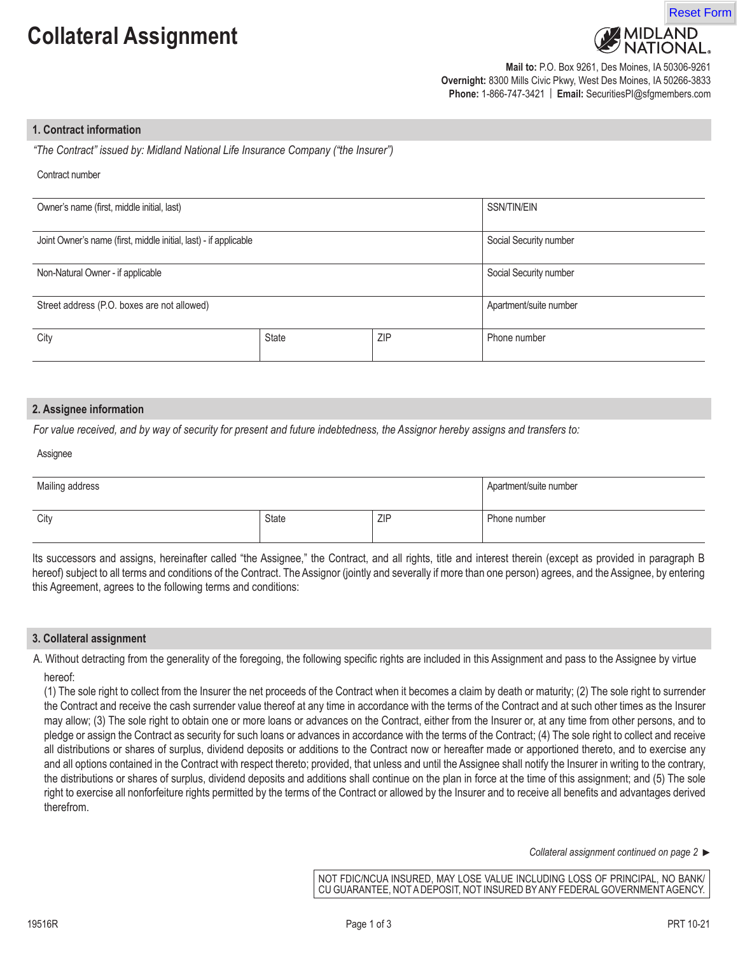# **Collateral Assignment**





**Mail to:** P.O. Box 9261, Des Moines, IA 50306-9261 **Overnight:** 8300 Mills Civic Pkwy, West Des Moines, IA 50266-3833 **Phone:** 1-866-747-3421 | **Email:** SecuritiesPI@sfgmembers.com

# **1. Contract information**

*"The Contract" issued by: Midland National Life Insurance Company ("the Insurer")*

#### Contract number

| Owner's name (first, middle initial, last)                       |              |     | SSN/TIN/EIN            |
|------------------------------------------------------------------|--------------|-----|------------------------|
| Joint Owner's name (first, middle initial, last) - if applicable |              |     | Social Security number |
| Non-Natural Owner - if applicable                                |              |     | Social Security number |
| Street address (P.O. boxes are not allowed)                      |              |     | Apartment/suite number |
| City                                                             | <b>State</b> | ZIP | Phone number           |

## **2. Assignee information**

*For value received, and by way of security for present and future indebtedness, the Assignor hereby assigns and transfers to:*

#### Assignee

| Mailing address |       | Apartment/suite number |              |
|-----------------|-------|------------------------|--------------|
| City            | State | ZIP                    | Phone number |

Its successors and assigns, hereinafter called "the Assignee," the Contract, and all rights, title and interest therein (except as provided in paragraph B hereof) subject to all terms and conditions of the Contract. The Assignor (jointly and severally if more than one person) agrees, and the Assignee, by entering this Agreement, agrees to the following terms and conditions:

#### **3. Collateral assignment**

A. Without detracting from the generality of the foregoing, the following specific rights are included in this Assignment and pass to the Assignee by virtue hereof:

(1) The sole right to collect from the Insurer the net proceeds of the Contract when it becomes a claim by death or maturity; (2) The sole right to surrender the Contract and receive the cash surrender value thereof at any time in accordance with the terms of the Contract and at such other times as the Insurer may allow; (3) The sole right to obtain one or more loans or advances on the Contract, either from the Insurer or, at any time from other persons, and to pledge or assign the Contract as security for such loans or advances in accordance with the terms of the Contract; (4) The sole right to collect and receive all distributions or shares of surplus, dividend deposits or additions to the Contract now or hereafter made or apportioned thereto, and to exercise any and all options contained in the Contract with respect thereto; provided, that unless and until the Assignee shall notify the Insurer in writing to the contrary, the distributions or shares of surplus, dividend deposits and additions shall continue on the plan in force at the time of this assignment; and (5) The sole right to exercise all nonforfeiture rights permitted by the terms of the Contract or allowed by the Insurer and to receive all benefits and advantages derived therefrom.

*Collateral assignment continued on page 2* 

NOT FDIC/NCUA INSURED, MAY LOSE VALUE INCLUDING LOSS OF PRINCIPAL, NO BANK/ CU GUARANTEE, NOT A DEPOSIT, NOT INSURED BY ANY FEDERAL GOVERNMENT AGENCY.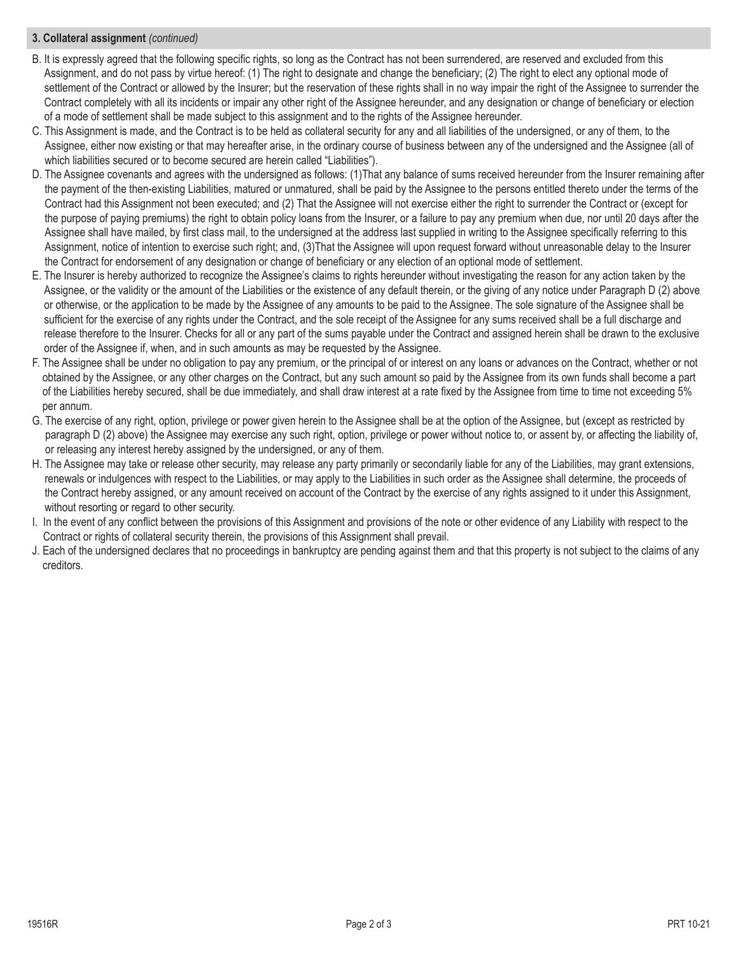# **3. Collateral assignment** *(continued)*

- B. It is expressly agreed that the following specific rights, so long as the Contract has not been surrendered, are reserved and excluded from this Assignment, and do not pass by virtue hereof: (1) The right to designate and change the beneficiary; (2) The right to elect any optional mode of settlement of the Contract or allowed by the Insurer; but the reservation of these rights shall in no way impair the right of the Assignee to surrender the Contract completely with all its incidents or impair any other right of the Assignee hereunder, and any designation or change of beneficiary or election of a mode of settlement shall be made subject to this assignment and to the rights of the Assignee hereunder.
- C. This Assignment is made, and the Contract is to be held as collateral security for any and all liabilities of the undersigned, or any of them, to the Assignee, either now existing or that may hereafter arise, in the ordinary course of business between any of the undersigned and the Assignee (all of which liabilities secured or to become secured are herein called "Liabilities").
- D. The Assignee covenants and agrees with the undersigned as follows: (1)That any balance of sums received hereunder from the Insurer remaining after the payment of the then-existing Liabilities, matured or unmatured, shall be paid by the Assignee to the persons entitled thereto under the terms of the Contract had this Assignment not been executed; and (2) That the Assignee will not exercise either the right to surrender the Contract or (except for the purpose of paying premiums) the right to obtain policy loans from the Insurer, or a failure to pay any premium when due, nor until 20 days after the Assignee shall have mailed, by first class mail, to the undersigned at the address last supplied in writing to the Assignee specifically referring to this Assignment, notice of intention to exercise such right; and, (3)That the Assignee will upon request forward without unreasonable delay to the Insurer the Contract for endorsement of any designation or change of beneficiary or any election of an optional mode of settlement.
- E. The Insurer is hereby authorized to recognize the Assignee's claims to rights hereunder without investigating the reason for any action taken by the Assignee, or the validity or the amount of the Liabilities or the existence of any default therein, or the giving of any notice under Paragraph D (2) above or otherwise, or the application to be made by the Assignee of any amounts to be paid to the Assignee. The sole signature of the Assignee shall be sufficient for the exercise of any rights under the Contract, and the sole receipt of the Assignee for any sums received shall be a full discharge and release therefore to the Insurer. Checks for all or any part of the sums payable under the Contract and assigned herein shall be drawn to the exclusive order of the Assignee if, when, and in such amounts as may be requested by the Assignee.
- F. The Assignee shall be under no obligation to pay any premium, or the principal of or interest on any loans or advances on the Contract, whether or not obtained by the Assignee, or any other charges on the Contract, but any such amount so paid by the Assignee from its own funds shall become a part of the Liabilities hereby secured, shall be due immediately, and shall draw interest at a rate fixed by the Assignee from time to time not exceeding 5% per annum.
- G. The exercise of any right, option, privilege or power given herein to the Assignee shall be at the option of the Assignee, but (except as restricted by paragraph D (2) above) the Assignee may exercise any such right, option, privilege or power without notice to, or assent by, or affecting the liability of, or releasing any interest hereby assigned by the undersigned, or any of them.
- H. The Assignee may take or release other security, may release any party primarily or secondarily liable for any of the Liabilities, may grant extensions, renewals or indulgences with respect to the Liabilities, or may apply to the Liabilities in such order as the Assignee shall determine, the proceeds of the Contract hereby assigned, or any amount received on account of the Contract by the exercise of any rights assigned to it under this Assignment, without resorting or regard to other security.
- I. In the event of any conflict between the provisions of this Assignment and provisions of the note or other evidence of any Liability with respect to the Contract or rights of collateral security therein, the provisions of this Assignment shall prevail.
- J. Each of the undersigned declares that no proceedings in bankruptcy are pending against them and that this property is not subject to the claims of any creditors.